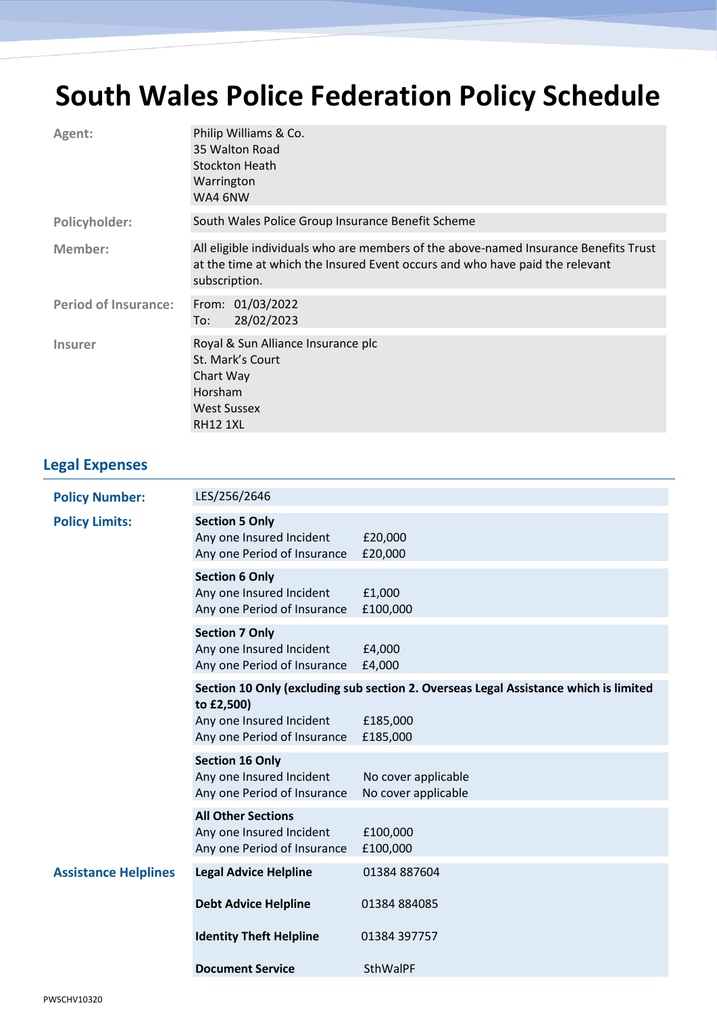## **South Wales Police Federation Policy Schedule**

| Agent:                      | Philip Williams & Co.<br>35 Walton Road<br><b>Stockton Heath</b><br>Warrington<br>WA4 6NW                                                                                             |
|-----------------------------|---------------------------------------------------------------------------------------------------------------------------------------------------------------------------------------|
| Policyholder:               | South Wales Police Group Insurance Benefit Scheme                                                                                                                                     |
| Member:                     | All eligible individuals who are members of the above-named Insurance Benefits Trust<br>at the time at which the Insured Event occurs and who have paid the relevant<br>subscription. |
| <b>Period of Insurance:</b> | From: 01/03/2022<br>28/02/2023<br>To:                                                                                                                                                 |
| <b>Insurer</b>              | Royal & Sun Alliance Insurance plc<br>St. Mark's Court<br>Chart Way<br><b>Horsham</b><br><b>West Sussex</b><br><b>RH12 1XL</b>                                                        |

## **Legal Expenses**

| <b>Policy Number:</b>       | LES/256/2646                                                                         |                                                                                      |
|-----------------------------|--------------------------------------------------------------------------------------|--------------------------------------------------------------------------------------|
| <b>Policy Limits:</b>       | <b>Section 5 Only</b><br>Any one Insured Incident<br>Any one Period of Insurance     | £20,000<br>£20,000                                                                   |
|                             | <b>Section 6 Only</b><br>Any one Insured Incident<br>Any one Period of Insurance     | £1,000<br>£100,000                                                                   |
|                             | <b>Section 7 Only</b><br>Any one Insured Incident<br>Any one Period of Insurance     | £4,000<br>£4,000                                                                     |
|                             | to £2,500)                                                                           | Section 10 Only (excluding sub section 2. Overseas Legal Assistance which is limited |
|                             | Any one Insured Incident<br>Any one Period of Insurance                              | £185,000<br>£185,000                                                                 |
|                             | <b>Section 16 Only</b><br>Any one Insured Incident<br>Any one Period of Insurance    | No cover applicable<br>No cover applicable                                           |
|                             | <b>All Other Sections</b><br>Any one Insured Incident<br>Any one Period of Insurance | £100,000<br>£100,000                                                                 |
| <b>Assistance Helplines</b> | <b>Legal Advice Helpline</b>                                                         | 01384 887604                                                                         |
|                             | <b>Debt Advice Helpline</b>                                                          | 01384 884085                                                                         |
|                             | <b>Identity Theft Helpline</b>                                                       | 01384 397757                                                                         |
|                             | <b>Document Service</b>                                                              | SthWalPF                                                                             |